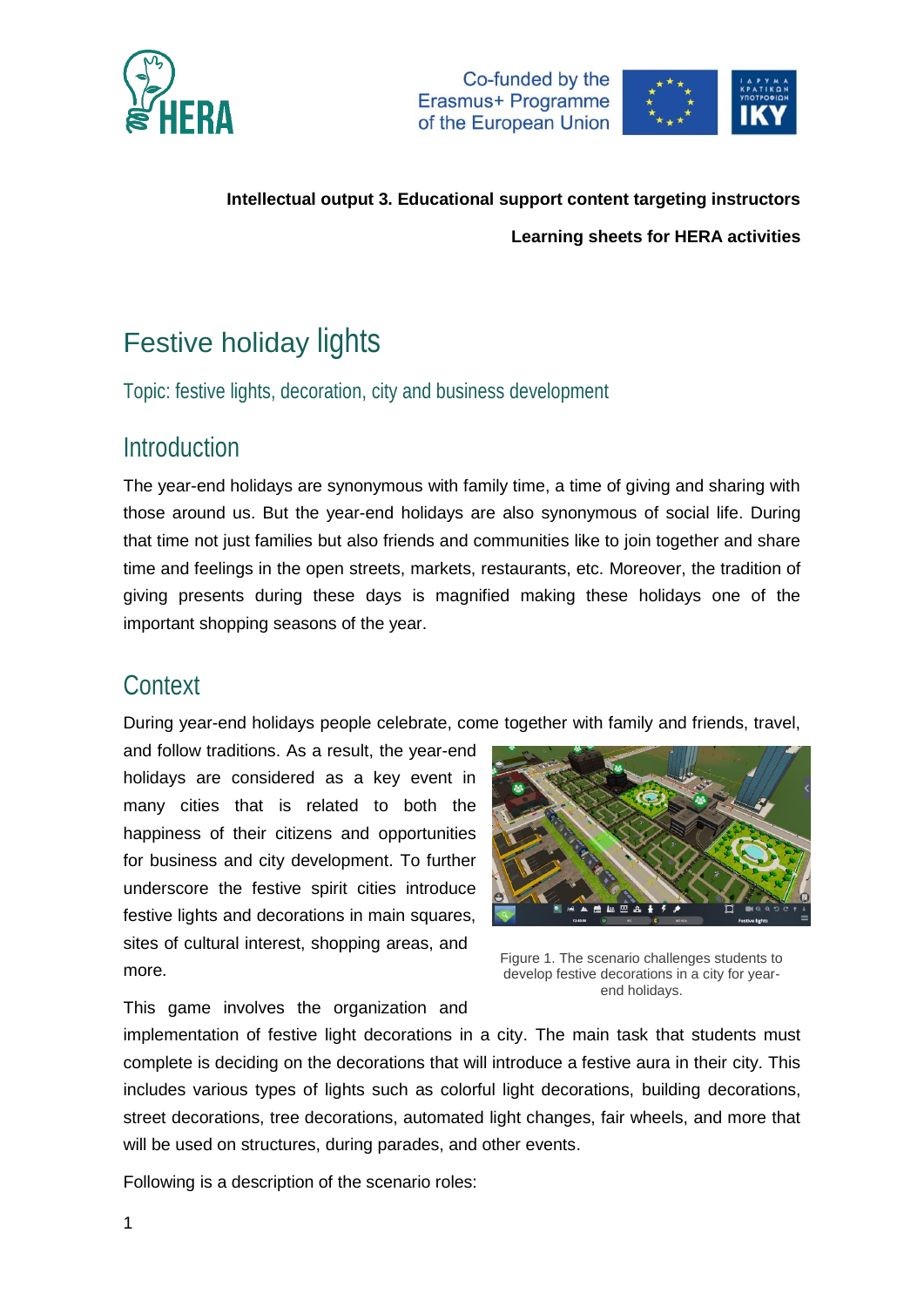



# Festive holiday lights

Topic: festive lights, decoration, city and business development

## Introduction

The year-end holidays are synonymous with family time, a time of giving and sharing with those around us. But the year-end holidays are also synonymous of social life. During that time not just families but also friends and communities like to join together and share time and feelings in the open streets, markets, restaurants, etc. Moreover, the tradition of giving presents during these days is magnified making these holidays one of the important shopping seasons of the year.

## **Context**

During year-end holidays people celebrate, come together with family and friends, travel,

and follow traditions. As a result, the year-end holidays are considered as a key event in many cities that is related to both the happiness of their citizens and opportunities for business and city development. To further underscore the festive spirit cities introduce festive lights and decorations in main squares, sites of cultural interest, shopping areas, and more.



Figure 1. The scenario challenges students to develop festive decorations in a city for yearend holidays.

This game involves the organization and

implementation of festive light decorations in a city. The main task that students must complete is deciding on the decorations that will introduce a festive aura in their city. This includes various types of lights such as colorful light decorations, building decorations, street decorations, tree decorations, automated light changes, fair wheels, and more that will be used on structures, during parades, and other events.

Following is a description of the scenario roles: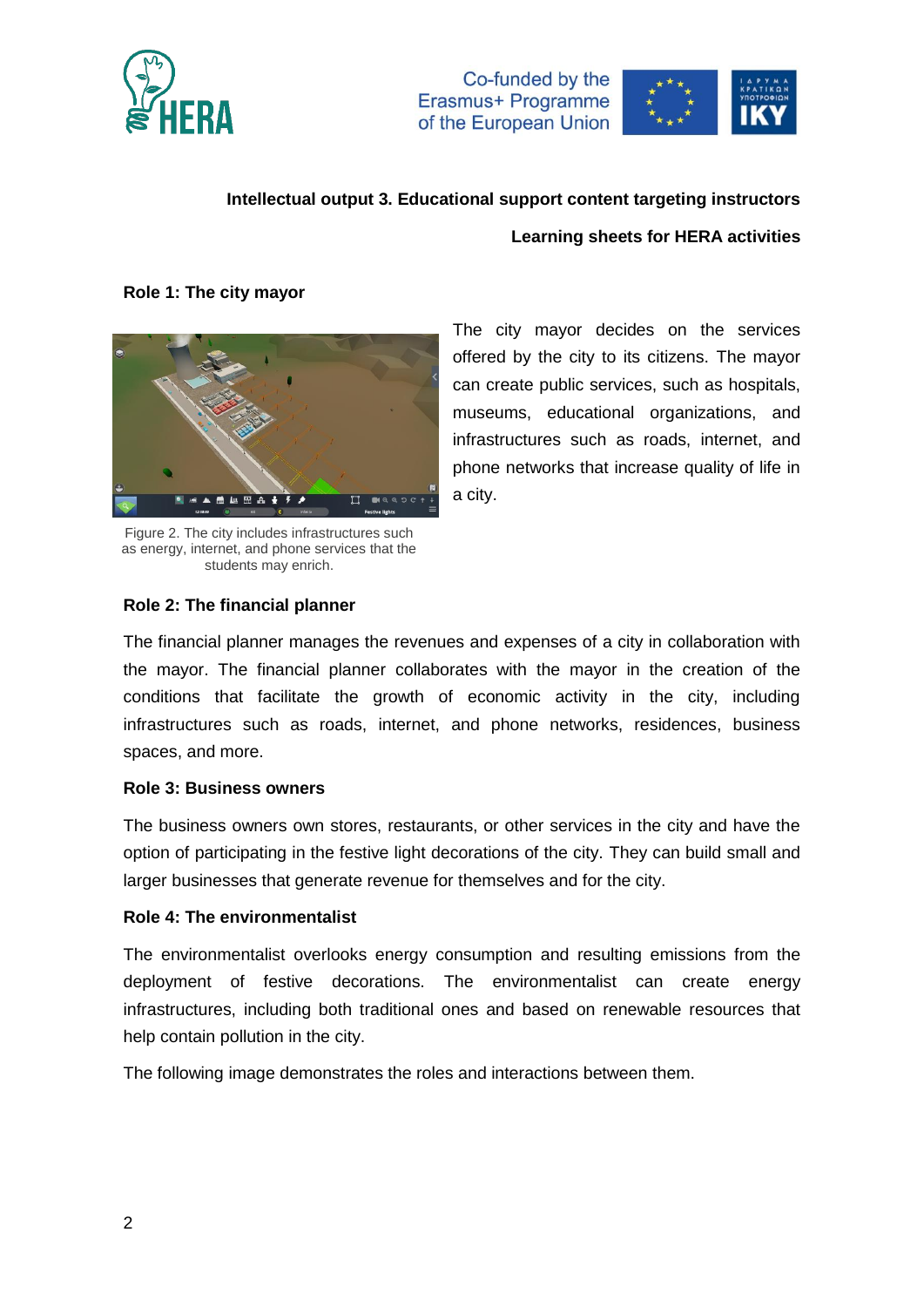



### **Role 1: The city mayor**



offered by the city to its citizens. The mayor can create public services, such as hospitals, museums, educational organizations, and infrastructures such as roads, internet, and phone networks that increase quality of life in a city.

The city mayor decides on the services

Figure 2. The city includes infrastructures such as energy, internet, and phone services that the students may enrich.

### **Role 2: The financial planner**

The financial planner manages the revenues and expenses of a city in collaboration with the mayor. The financial planner collaborates with the mayor in the creation of the conditions that facilitate the growth of economic activity in the city, including infrastructures such as roads, internet, and phone networks, residences, business spaces, and more.

#### **Role 3: Business owners**

The business owners own stores, restaurants, or other services in the city and have the option of participating in the festive light decorations of the city. They can build small and larger businesses that generate revenue for themselves and for the city.

#### **Role 4: The environmentalist**

The environmentalist overlooks energy consumption and resulting emissions from the deployment of festive decorations. The environmentalist can create energy infrastructures, including both traditional ones and based on renewable resources that help contain pollution in the city.

The following image demonstrates the roles and interactions between them.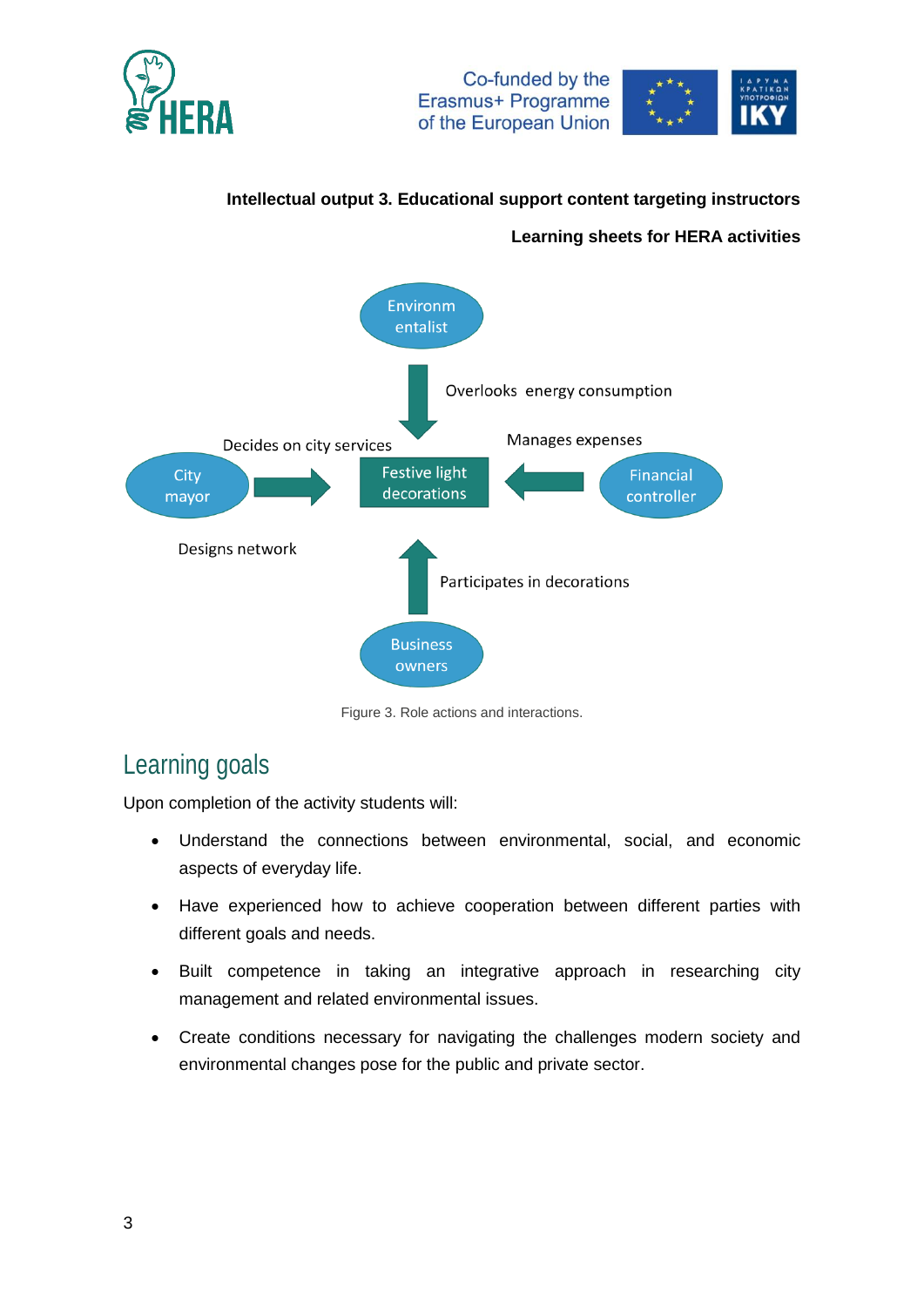



### **Intellectual output 3. Educational support content targeting instructors**

### **Learning sheets for HERA activities**



Figure 3. Role actions and interactions.

# Learning goals

Upon completion of the activity students will:

- Understand the connections between environmental, social, and economic aspects of everyday life.
- Have experienced how to achieve cooperation between different parties with different goals and needs.
- Built competence in taking an integrative approach in researching city management and related environmental issues.
- Create conditions necessary for navigating the challenges modern society and environmental changes pose for the public and private sector.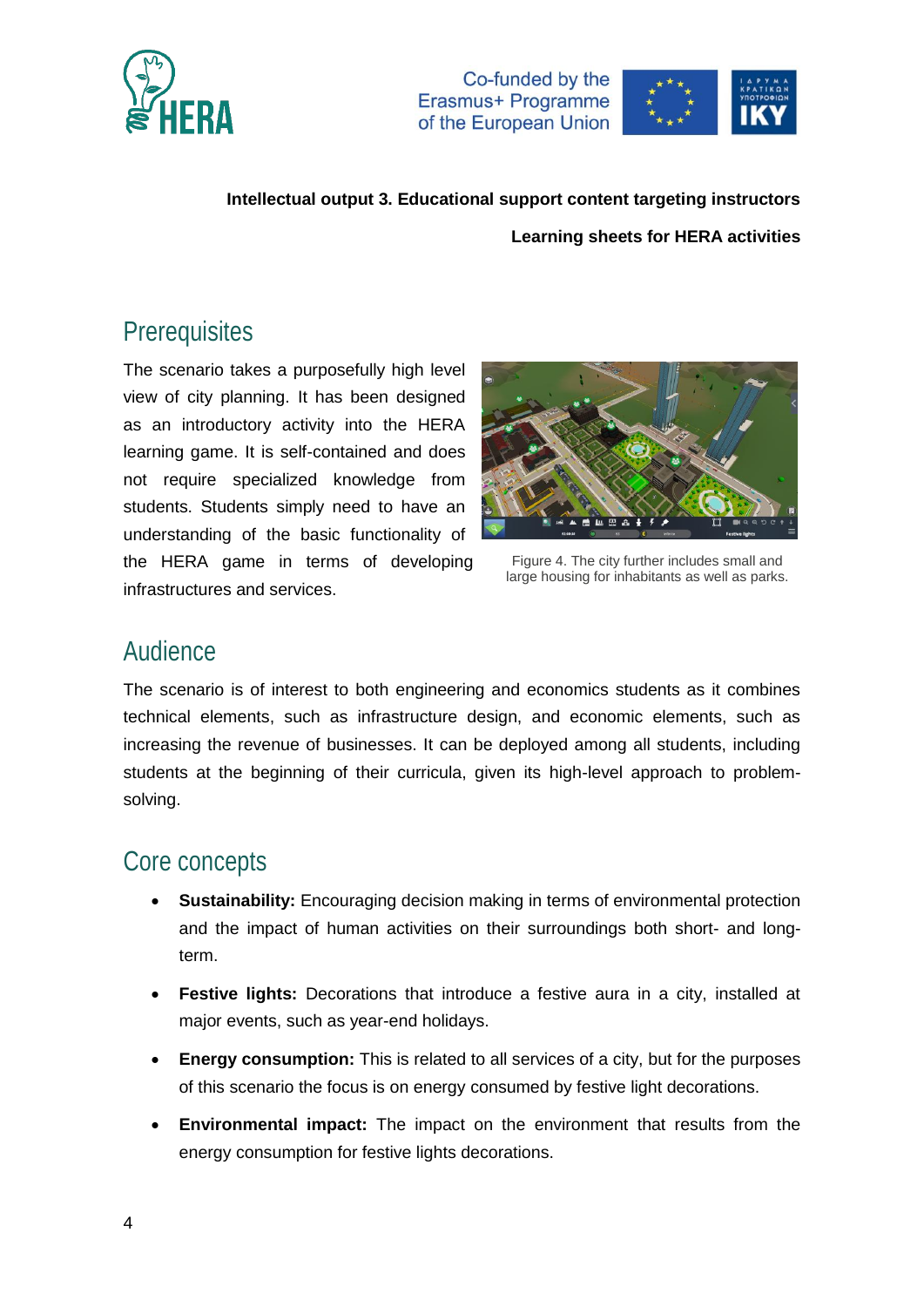



## **Prerequisites**

The scenario takes a purposefully high level view of city planning. It has been designed as an introductory activity into the HERA learning game. It is self-contained and does not require specialized knowledge from students. Students simply need to have an understanding of the basic functionality of the HERA game in terms of developing infrastructures and services.



Figure 4. The city further includes small and large housing for inhabitants as well as parks.

### Audience

The scenario is of interest to both engineering and economics students as it combines technical elements, such as infrastructure design, and economic elements, such as increasing the revenue of businesses. It can be deployed among all students, including students at the beginning of their curricula, given its high-level approach to problemsolving.

## Core concepts

- **Sustainability:** Encouraging decision making in terms of environmental protection and the impact of human activities on their surroundings both short- and longterm.
- **Festive lights:** Decorations that introduce a festive aura in a city, installed at major events, such as year-end holidays.
- **Energy consumption:** This is related to all services of a city, but for the purposes of this scenario the focus is on energy consumed by festive light decorations.
- **Environmental impact:** The impact on the environment that results from the energy consumption for festive lights decorations.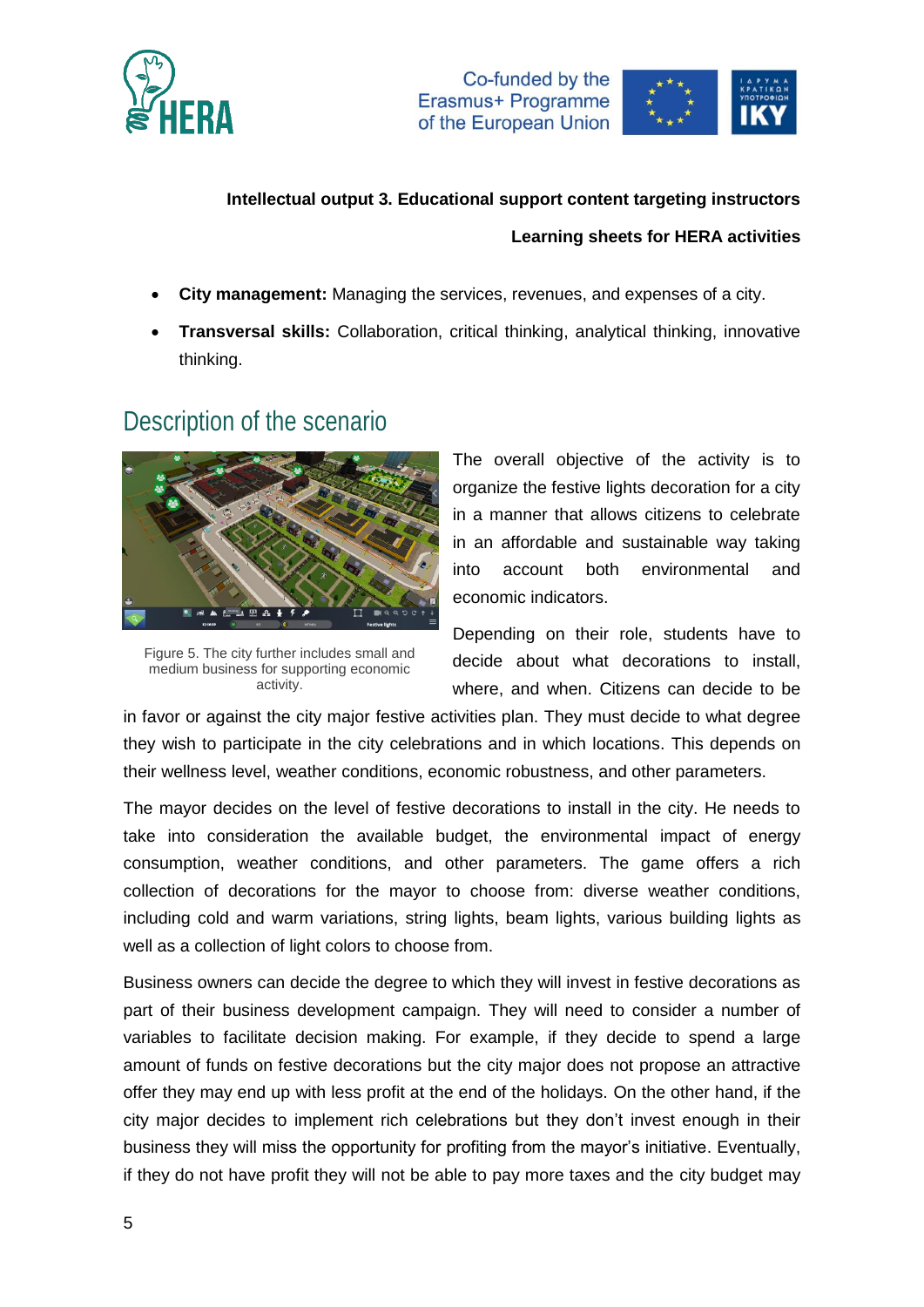



- **City management:** Managing the services, revenues, and expenses of a city.
- **Transversal skills:** Collaboration, critical thinking, analytical thinking, innovative thinking.

## Description of the scenario



Figure 5. The city further includes small and medium business for supporting economic activity.

The overall objective of the activity is to organize the festive lights decoration for a city in a manner that allows citizens to celebrate in an affordable and sustainable way taking into account both environmental and economic indicators.

Depending on their role, students have to decide about what decorations to install, where, and when. Citizens can decide to be

in favor or against the city major festive activities plan. They must decide to what degree they wish to participate in the city celebrations and in which locations. This depends on their wellness level, weather conditions, economic robustness, and other parameters.

The mayor decides on the level of festive decorations to install in the city. He needs to take into consideration the available budget, the environmental impact of energy consumption, weather conditions, and other parameters. The game offers a rich collection of decorations for the mayor to choose from: diverse weather conditions, including cold and warm variations, string lights, beam lights, various building lights as well as a collection of light colors to choose from.

Business owners can decide the degree to which they will invest in festive decorations as part of their business development campaign. They will need to consider a number of variables to facilitate decision making. For example, if they decide to spend a large amount of funds on festive decorations but the city major does not propose an attractive offer they may end up with less profit at the end of the holidays. On the other hand, if the city major decides to implement rich celebrations but they don't invest enough in their business they will miss the opportunity for profiting from the mayor's initiative. Eventually, if they do not have profit they will not be able to pay more taxes and the city budget may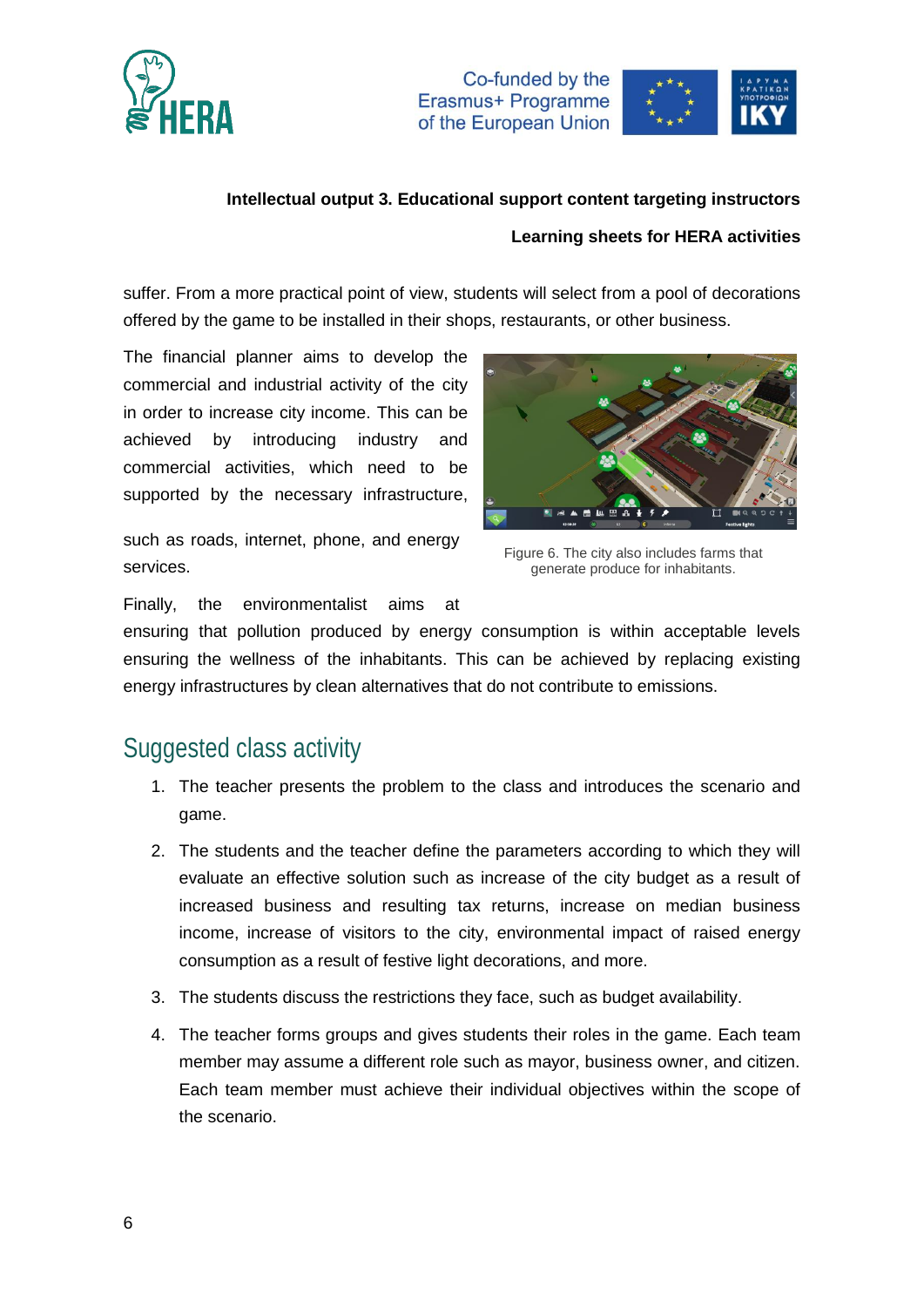



### **Intellectual output 3. Educational support content targeting instructors**

### **Learning sheets for HERA activities**

suffer. From a more practical point of view, students will select from a pool of decorations offered by the game to be installed in their shops, restaurants, or other business.

The financial planner aims to develop the commercial and industrial activity of the city in order to increase city income. This can be achieved by introducing industry and commercial activities, which need to be supported by the necessary infrastructure,

such as roads, internet, phone, and energy services.



Figure 6. The city also includes farms that generate produce for inhabitants.

Finally, the environmentalist aims at

ensuring that pollution produced by energy consumption is within acceptable levels ensuring the wellness of the inhabitants. This can be achieved by replacing existing energy infrastructures by clean alternatives that do not contribute to emissions.

## Suggested class activity

- 1. The teacher presents the problem to the class and introduces the scenario and game.
- 2. The students and the teacher define the parameters according to which they will evaluate an effective solution such as increase of the city budget as a result of increased business and resulting tax returns, increase on median business income, increase of visitors to the city, environmental impact of raised energy consumption as a result of festive light decorations, and more.
- 3. The students discuss the restrictions they face, such as budget availability.
- 4. The teacher forms groups and gives students their roles in the game. Each team member may assume a different role such as mayor, business owner, and citizen. Each team member must achieve their individual objectives within the scope of the scenario.